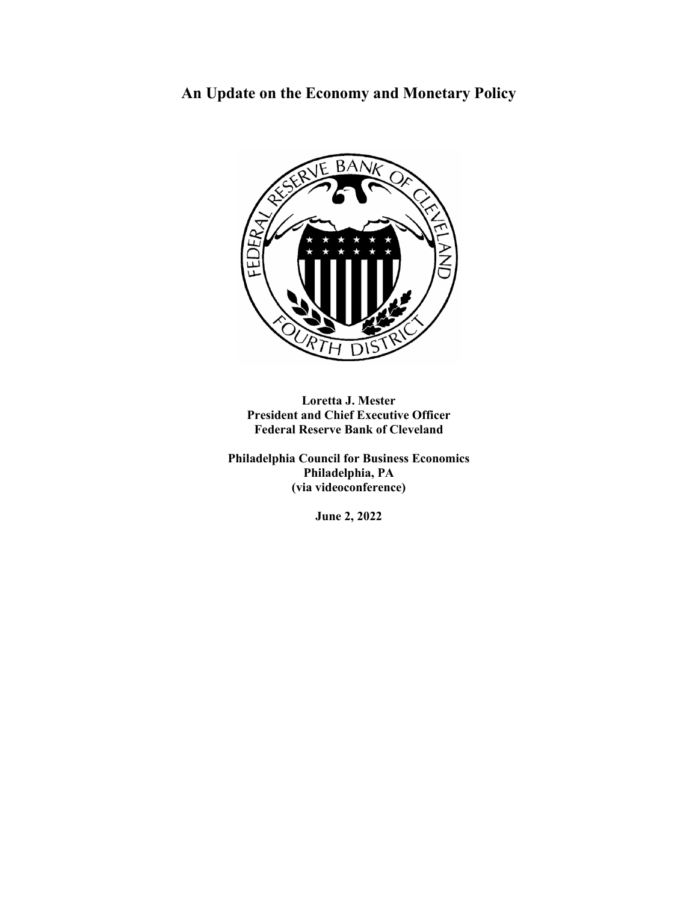# **An Update on the Economy and Monetary Policy**



**Loretta J. Mester President and Chief Executive Officer Federal Reserve Bank of Cleveland**

**Philadelphia Council for Business Economics Philadelphia, PA (via videoconference)**

**June 2, 2022**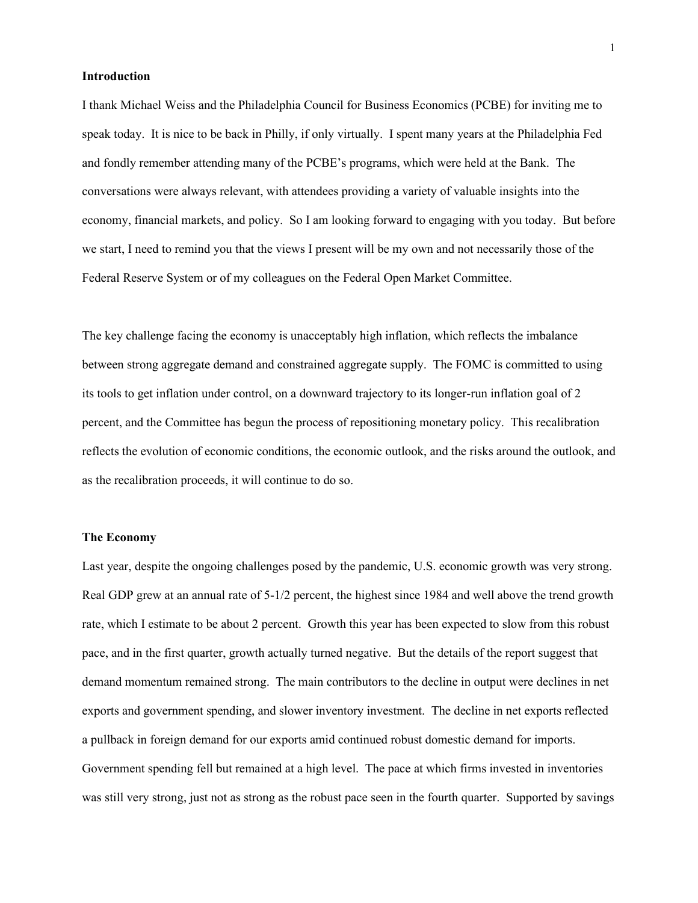## **Introduction**

I thank Michael Weiss and the Philadelphia Council for Business Economics (PCBE) for inviting me to speak today. It is nice to be back in Philly, if only virtually. I spent many years at the Philadelphia Fed and fondly remember attending many of the PCBE's programs, which were held at the Bank. The conversations were always relevant, with attendees providing a variety of valuable insights into the economy, financial markets, and policy. So I am looking forward to engaging with you today. But before we start, I need to remind you that the views I present will be my own and not necessarily those of the Federal Reserve System or of my colleagues on the Federal Open Market Committee.

The key challenge facing the economy is unacceptably high inflation, which reflects the imbalance between strong aggregate demand and constrained aggregate supply. The FOMC is committed to using its tools to get inflation under control, on a downward trajectory to its longer-run inflation goal of 2 percent, and the Committee has begun the process of repositioning monetary policy. This recalibration reflects the evolution of economic conditions, the economic outlook, and the risks around the outlook, and as the recalibration proceeds, it will continue to do so.

#### **The Economy**

Last year, despite the ongoing challenges posed by the pandemic, U.S. economic growth was very strong. Real GDP grew at an annual rate of 5-1/2 percent, the highest since 1984 and well above the trend growth rate, which I estimate to be about 2 percent. Growth this year has been expected to slow from this robust pace, and in the first quarter, growth actually turned negative. But the details of the report suggest that demand momentum remained strong. The main contributors to the decline in output were declines in net exports and government spending, and slower inventory investment. The decline in net exports reflected a pullback in foreign demand for our exports amid continued robust domestic demand for imports. Government spending fell but remained at a high level. The pace at which firms invested in inventories was still very strong, just not as strong as the robust pace seen in the fourth quarter. Supported by savings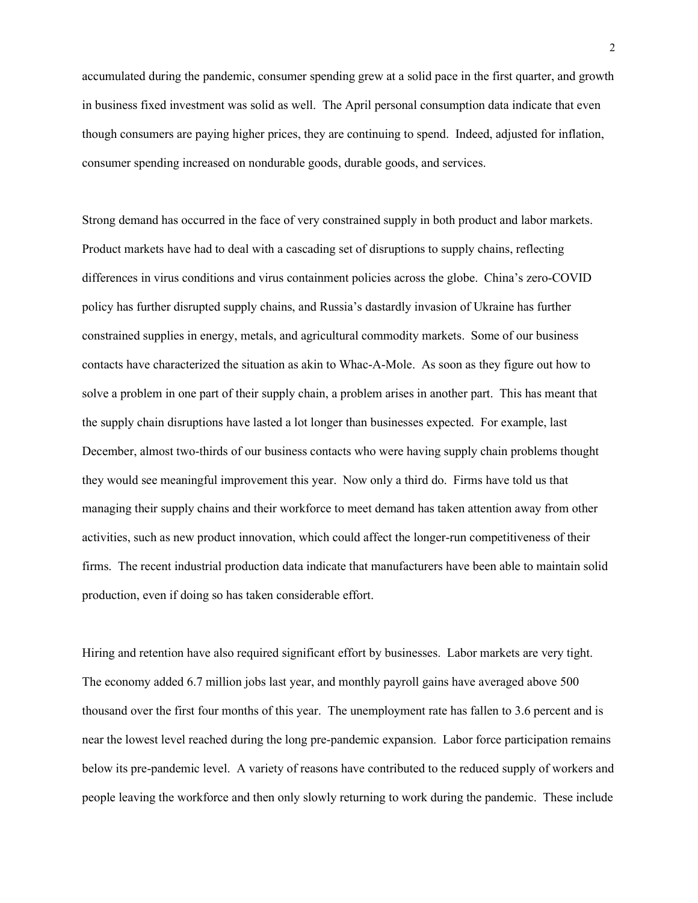accumulated during the pandemic, consumer spending grew at a solid pace in the first quarter, and growth in business fixed investment was solid as well. The April personal consumption data indicate that even though consumers are paying higher prices, they are continuing to spend. Indeed, adjusted for inflation, consumer spending increased on nondurable goods, durable goods, and services.

Strong demand has occurred in the face of very constrained supply in both product and labor markets. Product markets have had to deal with a cascading set of disruptions to supply chains, reflecting differences in virus conditions and virus containment policies across the globe. China's zero-COVID policy has further disrupted supply chains, and Russia's dastardly invasion of Ukraine has further constrained supplies in energy, metals, and agricultural commodity markets. Some of our business contacts have characterized the situation as akin to Whac-A-Mole. As soon as they figure out how to solve a problem in one part of their supply chain, a problem arises in another part. This has meant that the supply chain disruptions have lasted a lot longer than businesses expected. For example, last December, almost two-thirds of our business contacts who were having supply chain problems thought they would see meaningful improvement this year. Now only a third do. Firms have told us that managing their supply chains and their workforce to meet demand has taken attention away from other activities, such as new product innovation, which could affect the longer-run competitiveness of their firms. The recent industrial production data indicate that manufacturers have been able to maintain solid production, even if doing so has taken considerable effort.

Hiring and retention have also required significant effort by businesses. Labor markets are very tight. The economy added 6.7 million jobs last year, and monthly payroll gains have averaged above 500 thousand over the first four months of this year. The unemployment rate has fallen to 3.6 percent and is near the lowest level reached during the long pre-pandemic expansion. Labor force participation remains below its pre-pandemic level. A variety of reasons have contributed to the reduced supply of workers and people leaving the workforce and then only slowly returning to work during the pandemic. These include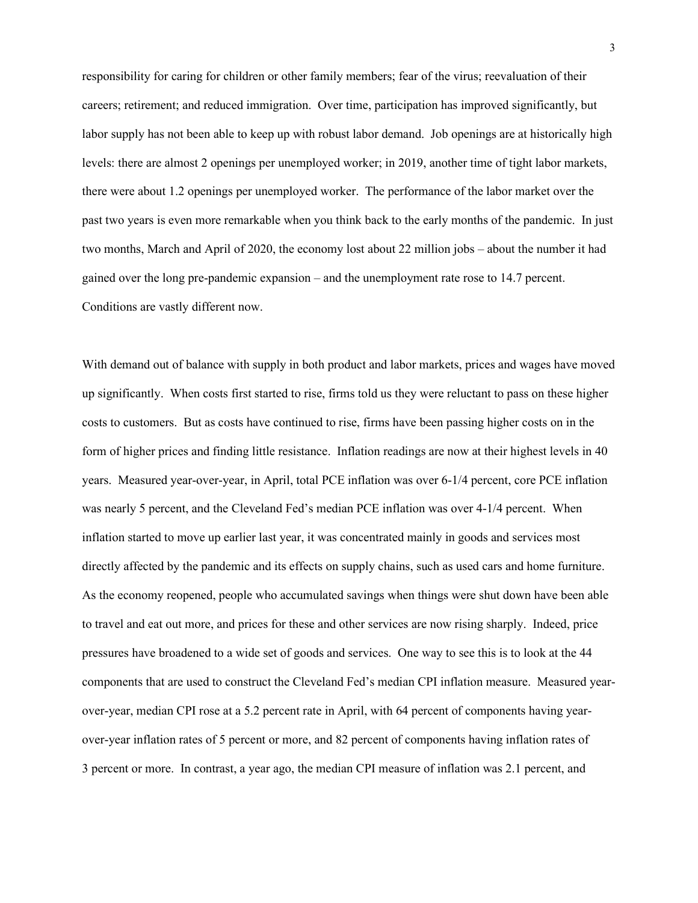responsibility for caring for children or other family members; fear of the virus; reevaluation of their careers; retirement; and reduced immigration. Over time, participation has improved significantly, but labor supply has not been able to keep up with robust labor demand. Job openings are at historically high levels: there are almost 2 openings per unemployed worker; in 2019, another time of tight labor markets, there were about 1.2 openings per unemployed worker. The performance of the labor market over the past two years is even more remarkable when you think back to the early months of the pandemic. In just two months, March and April of 2020, the economy lost about 22 million jobs – about the number it had gained over the long pre-pandemic expansion – and the unemployment rate rose to 14.7 percent. Conditions are vastly different now.

With demand out of balance with supply in both product and labor markets, prices and wages have moved up significantly. When costs first started to rise, firms told us they were reluctant to pass on these higher costs to customers. But as costs have continued to rise, firms have been passing higher costs on in the form of higher prices and finding little resistance. Inflation readings are now at their highest levels in 40 years. Measured year-over-year, in April, total PCE inflation was over 6-1/4 percent, core PCE inflation was nearly 5 percent, and the Cleveland Fed's median PCE inflation was over 4-1/4 percent. When inflation started to move up earlier last year, it was concentrated mainly in goods and services most directly affected by the pandemic and its effects on supply chains, such as used cars and home furniture. As the economy reopened, people who accumulated savings when things were shut down have been able to travel and eat out more, and prices for these and other services are now rising sharply. Indeed, price pressures have broadened to a wide set of goods and services. One way to see this is to look at the 44 components that are used to construct the Cleveland Fed's median CPI inflation measure. Measured yearover-year, median CPI rose at a 5.2 percent rate in April, with 64 percent of components having yearover-year inflation rates of 5 percent or more, and 82 percent of components having inflation rates of 3 percent or more. In contrast, a year ago, the median CPI measure of inflation was 2.1 percent, and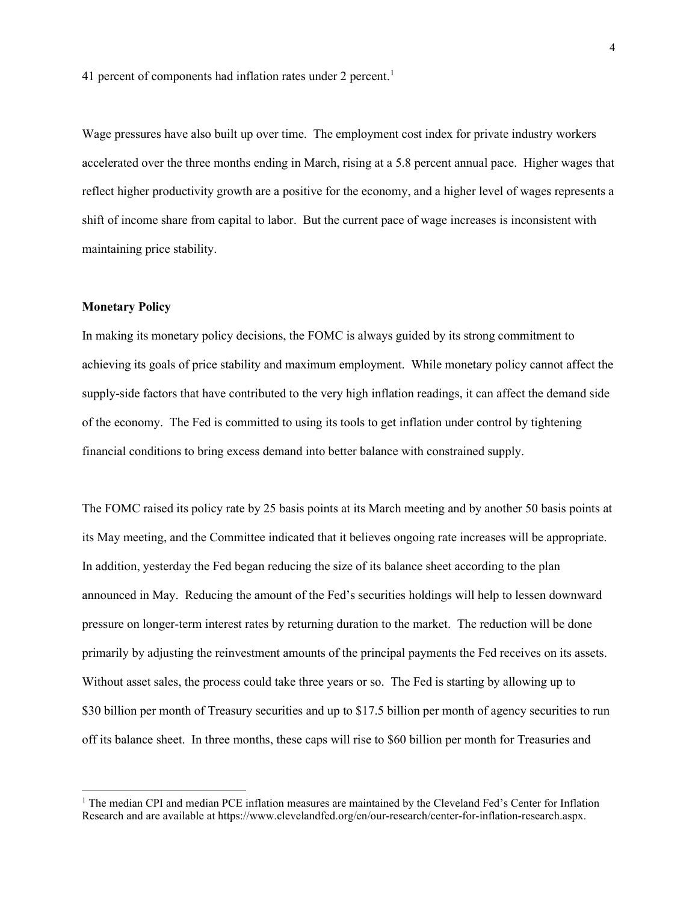41 percent of components had inflation rates under 2 percent.<sup>1</sup>

Wage pressures have also built up over time. The employment cost index for private industry workers accelerated over the three months ending in March, rising at a 5.8 percent annual pace. Higher wages that reflect higher productivity growth are a positive for the economy, and a higher level of wages represents a shift of income share from capital to labor. But the current pace of wage increases is inconsistent with maintaining price stability.

## **Monetary Policy**

In making its monetary policy decisions, the FOMC is always guided by its strong commitment to achieving its goals of price stability and maximum employment. While monetary policy cannot affect the supply-side factors that have contributed to the very high inflation readings, it can affect the demand side of the economy. The Fed is committed to using its tools to get inflation under control by tightening financial conditions to bring excess demand into better balance with constrained supply.

The FOMC raised its policy rate by 25 basis points at its March meeting and by another 50 basis points at its May meeting, and the Committee indicated that it believes ongoing rate increases will be appropriate. In addition, yesterday the Fed began reducing the size of its balance sheet according to the plan announced in May. Reducing the amount of the Fed's securities holdings will help to lessen downward pressure on longer-term interest rates by returning duration to the market. The reduction will be done primarily by adjusting the reinvestment amounts of the principal payments the Fed receives on its assets. Without asset sales, the process could take three years or so. The Fed is starting by allowing up to \$30 billion per month of Treasury securities and up to \$17.5 billion per month of agency securities to run off its balance sheet. In three months, these caps will rise to \$60 billion per month for Treasuries and

<span id="page-4-0"></span><sup>&</sup>lt;sup>1</sup> The median CPI and median PCE inflation measures are maintained by the Cleveland Fed's Center for Inflation Research and are available at https://www.clevelandfed.org/en/our-research/center-for-inflation-research.aspx.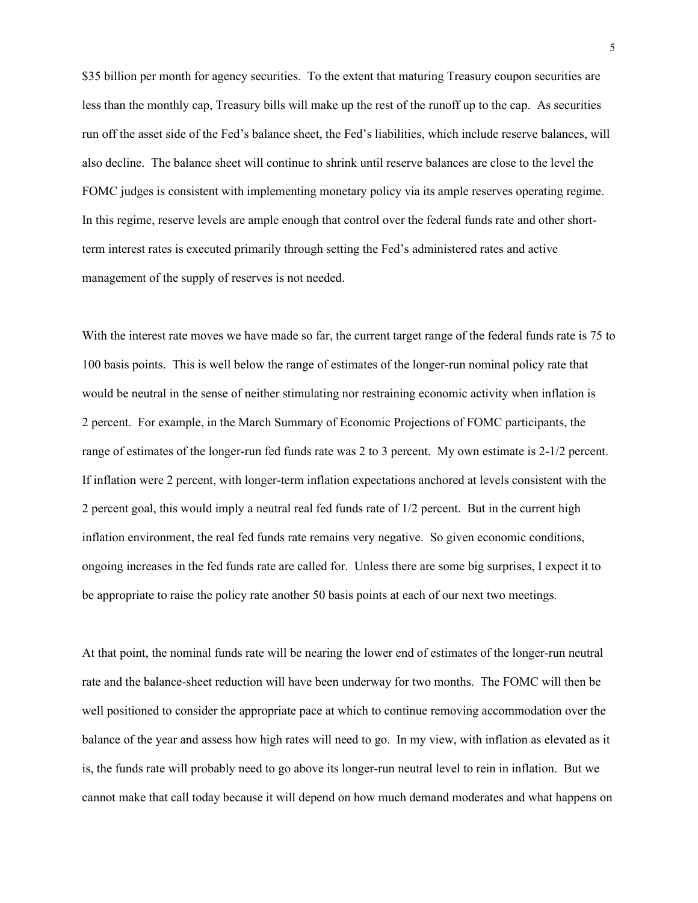\$35 billion per month for agency securities. To the extent that maturing Treasury coupon securities are less than the monthly cap, Treasury bills will make up the rest of the runoff up to the cap. As securities run off the asset side of the Fed's balance sheet, the Fed's liabilities, which include reserve balances, will also decline. The balance sheet will continue to shrink until reserve balances are close to the level the FOMC judges is consistent with implementing monetary policy via its ample reserves operating regime. In this regime, reserve levels are ample enough that control over the federal funds rate and other shortterm interest rates is executed primarily through setting the Fed's administered rates and active management of the supply of reserves is not needed.

With the interest rate moves we have made so far, the current target range of the federal funds rate is 75 to 100 basis points. This is well below the range of estimates of the longer-run nominal policy rate that would be neutral in the sense of neither stimulating nor restraining economic activity when inflation is 2 percent. For example, in the March Summary of Economic Projections of FOMC participants, the range of estimates of the longer-run fed funds rate was 2 to 3 percent. My own estimate is 2-1/2 percent. If inflation were 2 percent, with longer-term inflation expectations anchored at levels consistent with the 2 percent goal, this would imply a neutral real fed funds rate of 1/2 percent. But in the current high inflation environment, the real fed funds rate remains very negative. So given economic conditions, ongoing increases in the fed funds rate are called for. Unless there are some big surprises, I expect it to be appropriate to raise the policy rate another 50 basis points at each of our next two meetings.

At that point, the nominal funds rate will be nearing the lower end of estimates of the longer-run neutral rate and the balance-sheet reduction will have been underway for two months. The FOMC will then be well positioned to consider the appropriate pace at which to continue removing accommodation over the balance of the year and assess how high rates will need to go. In my view, with inflation as elevated as it is, the funds rate will probably need to go above its longer-run neutral level to rein in inflation. But we cannot make that call today because it will depend on how much demand moderates and what happens on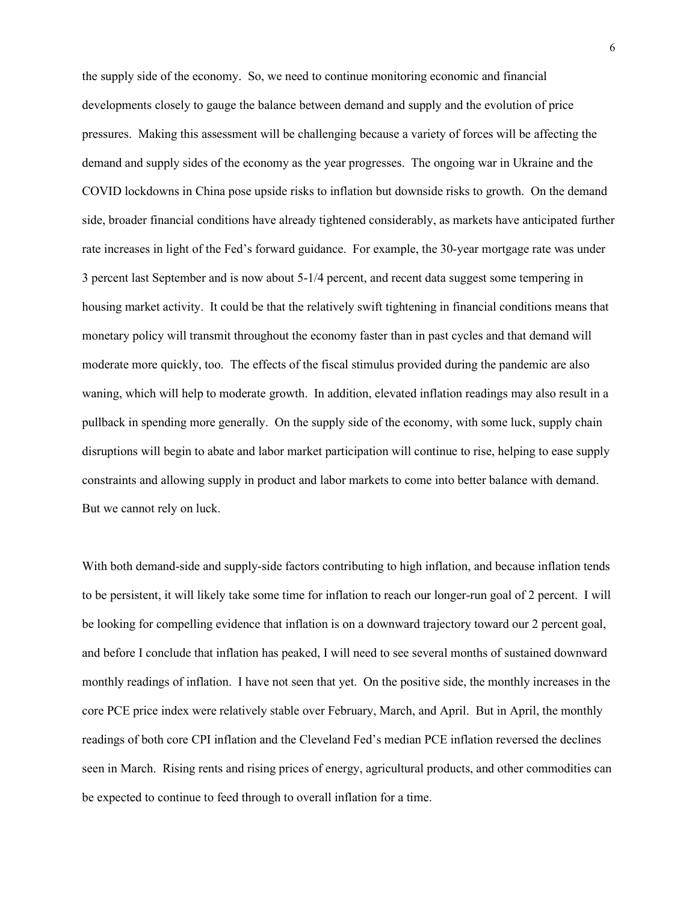the supply side of the economy. So, we need to continue monitoring economic and financial developments closely to gauge the balance between demand and supply and the evolution of price pressures. Making this assessment will be challenging because a variety of forces will be affecting the demand and supply sides of the economy as the year progresses. The ongoing war in Ukraine and the COVID lockdowns in China pose upside risks to inflation but downside risks to growth. On the demand side, broader financial conditions have already tightened considerably, as markets have anticipated further rate increases in light of the Fed's forward guidance. For example, the 30-year mortgage rate was under 3 percent last September and is now about 5-1/4 percent, and recent data suggest some tempering in housing market activity. It could be that the relatively swift tightening in financial conditions means that monetary policy will transmit throughout the economy faster than in past cycles and that demand will moderate more quickly, too. The effects of the fiscal stimulus provided during the pandemic are also waning, which will help to moderate growth. In addition, elevated inflation readings may also result in a pullback in spending more generally. On the supply side of the economy, with some luck, supply chain disruptions will begin to abate and labor market participation will continue to rise, helping to ease supply constraints and allowing supply in product and labor markets to come into better balance with demand. But we cannot rely on luck.

With both demand-side and supply-side factors contributing to high inflation, and because inflation tends to be persistent, it will likely take some time for inflation to reach our longer-run goal of 2 percent. I will be looking for compelling evidence that inflation is on a downward trajectory toward our 2 percent goal, and before I conclude that inflation has peaked, I will need to see several months of sustained downward monthly readings of inflation. I have not seen that yet. On the positive side, the monthly increases in the core PCE price index were relatively stable over February, March, and April. But in April, the monthly readings of both core CPI inflation and the Cleveland Fed's median PCE inflation reversed the declines seen in March. Rising rents and rising prices of energy, agricultural products, and other commodities can be expected to continue to feed through to overall inflation for a time.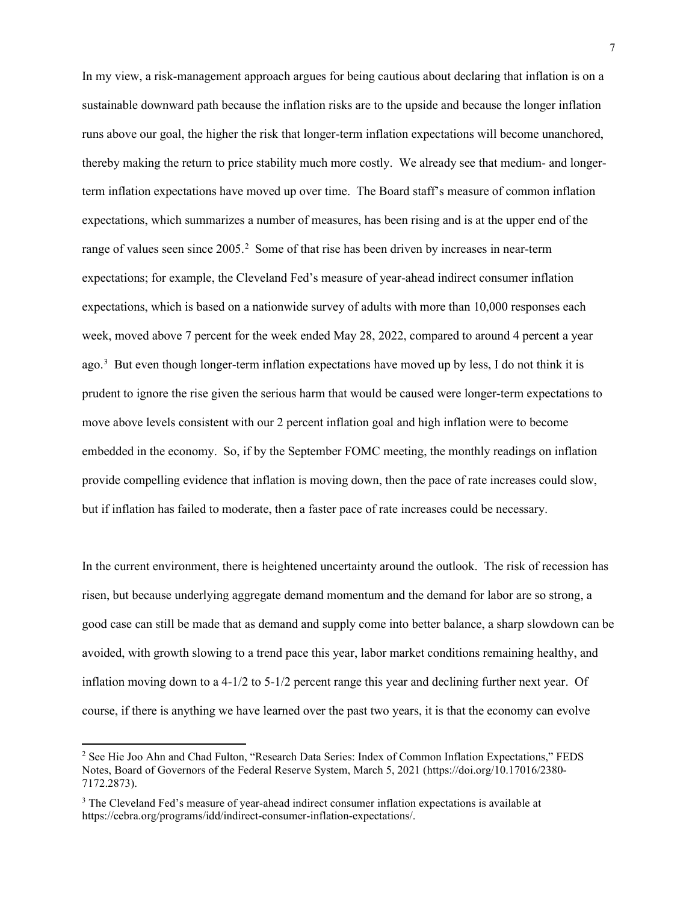In my view, a risk-management approach argues for being cautious about declaring that inflation is on a sustainable downward path because the inflation risks are to the upside and because the longer inflation runs above our goal, the higher the risk that longer-term inflation expectations will become unanchored, thereby making the return to price stability much more costly. We already see that medium- and longerterm inflation expectations have moved up over time. The Board staff's measure of common inflation expectations, which summarizes a number of measures, has been rising and is at the upper end of the range of values seen since  $2005$  $2005$ .<sup>2</sup> Some of that rise has been driven by increases in near-term expectations; for example, the Cleveland Fed's measure of year-ahead indirect consumer inflation expectations, which is based on a nationwide survey of adults with more than 10,000 responses each week, moved above 7 percent for the week ended May 28, 2022, compared to around 4 percent a year ago. [3](#page-7-1) But even though longer-term inflation expectations have moved up by less, I do not think it is prudent to ignore the rise given the serious harm that would be caused were longer-term expectations to move above levels consistent with our 2 percent inflation goal and high inflation were to become embedded in the economy. So, if by the September FOMC meeting, the monthly readings on inflation provide compelling evidence that inflation is moving down, then the pace of rate increases could slow, but if inflation has failed to moderate, then a faster pace of rate increases could be necessary.

In the current environment, there is heightened uncertainty around the outlook. The risk of recession has risen, but because underlying aggregate demand momentum and the demand for labor are so strong, a good case can still be made that as demand and supply come into better balance, a sharp slowdown can be avoided, with growth slowing to a trend pace this year, labor market conditions remaining healthy, and inflation moving down to a 4-1/2 to 5-1/2 percent range this year and declining further next year. Of course, if there is anything we have learned over the past two years, it is that the economy can evolve

<span id="page-7-0"></span><sup>2</sup> See Hie Joo Ahn and Chad Fulton, "Research Data Series: Index of Common Inflation Expectations," FEDS Notes, Board of Governors of the Federal Reserve System, March 5, 2021 (https://doi.org/10.17016/2380- 7172.2873).

<span id="page-7-1"></span><sup>&</sup>lt;sup>3</sup> The Cleveland Fed's measure of year-ahead indirect consumer inflation expectations is available at https://cebra.org/programs/idd/indirect-consumer-inflation-expectations/.